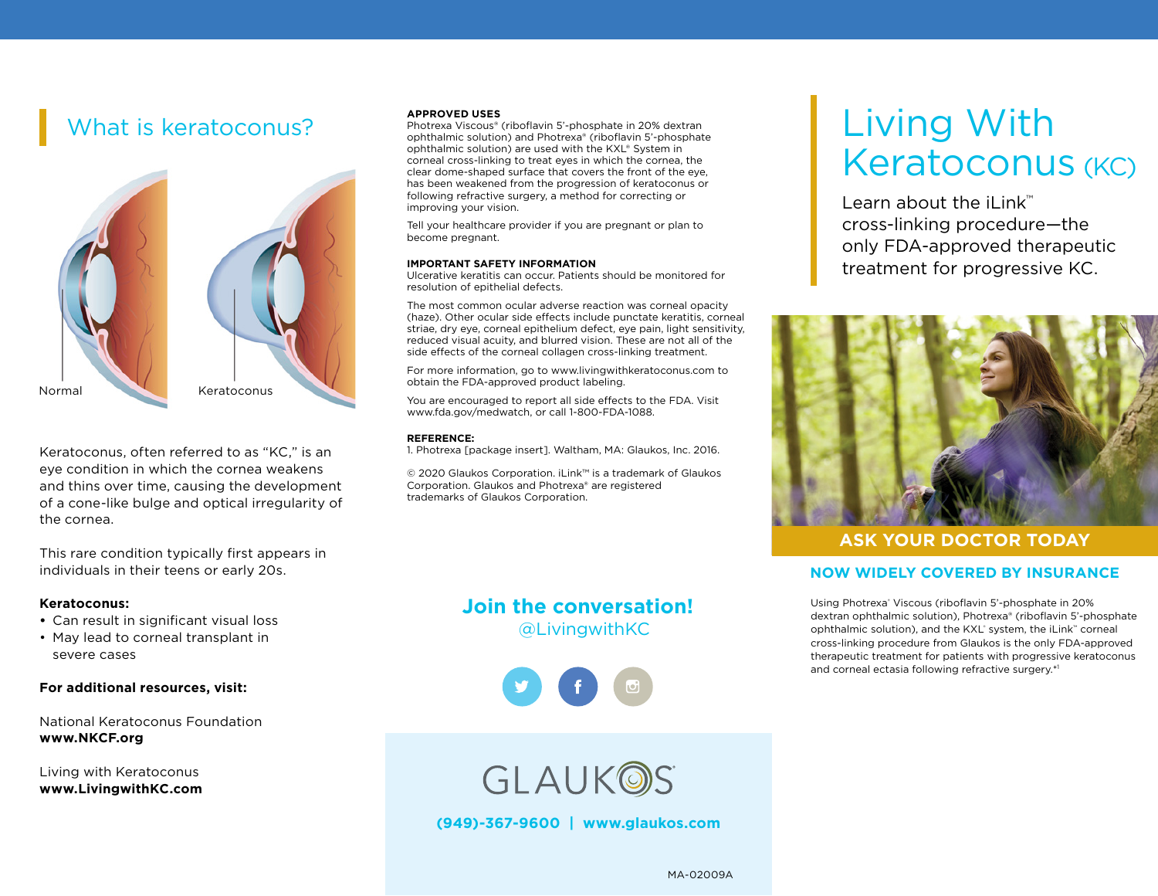# What is keratoconus?



Keratoconus, often referred to as "KC," is an eye condition in which the cornea weakens and thins over time, causing the development of a cone-like bulge and optical irregularity of the cornea.

This rare condition typically first appears in individuals in their teens or early 20s.

#### **Keratoconus:**

- **•** Can result in significant visual loss
- May lead to corneal transplant in severe cases

**For additional resources, visit:**

National Keratoconus Foundation **www.NKCF.org** 

Living with Keratoconus **www.LivingwithKC.com**

#### **APPROVED USES**

Photrexa Viscous® (riboflavin 5'-phosphate in 20% dextran ophthalmic solution) and Photrexa® (riboflavin 5'-phosphate ophthalmic solution) are used with the KXL® System in corneal cross-linking to treat eyes in which the cornea, the clear dome-shaped surface that covers the front of the eye, has been weakened from the progression of keratoconus or following refractive surgery, a method for correcting or improving your vision.

Tell your healthcare provider if you are pregnant or plan to become pregnant.

#### **IMPORTANT SAFETY INFORMATION**

Ulcerative keratitis can occur. Patients should be monitored for resolution of epithelial defects.

The most common ocular adverse reaction was corneal opacity (haze). Other ocular side effects include punctate keratitis, corneal striae, dry eye, corneal epithelium defect, eye pain, light sensitivity, reduced visual acuity, and blurred vision. These are not all of the side effects of the corneal collagen cross-linking treatment.

For more information, go to www.livingwithkeratoconus.com to obtain the FDA-approved product labeling.

You are encouraged to report all side effects to the FDA. Visit www.fda.gov/medwatch, or call 1-800-FDA-1088.

#### **REFERENCE:**

1. Photrexa [package insert]. Waltham, MA: Glaukos, Inc. 2016.

© 2020 Glaukos Corporation. iLink™ is a trademark of Glaukos Corporation. Glaukos and Photrexa® are registered trademarks of Glaukos Corporation.

## **Join the conversation!**  @LivingwithKC



# Living With Keratoconus (KC)

Learn about the iLink™ cross-linking procedure—the only FDA-approved therapeutic treatment for progressive KC.



### **ASK YOUR DOCTOR TODAY**

#### **NOW WIDELY COVERED BY INSURANCE**

Using Photrexa<sup>®</sup> Viscous (riboflavin 5'-phosphate in 20% dextran ophthalmic solution), Photrexa® (riboflavin 5'-phosphate ophthalmic solution), and the KXL® system, the iLink™ corneal cross-linking procedure from Glaukos is the only FDA-approved therapeutic treatment for patients with progressive keratoconus and corneal ectasia following refractive surgery.\*1



**(949)-367-9600 | www.glaukos.com**